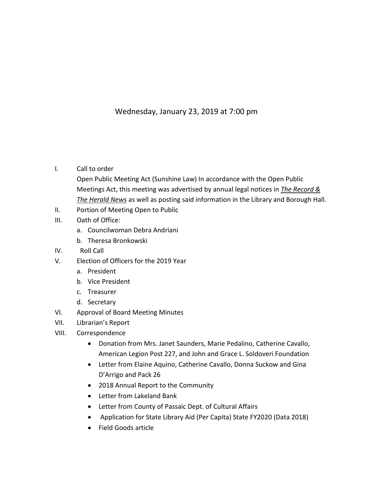## Wednesday, January 23, 2019 at 7:00 pm

## I. Call to order

- Open Public Meeting Act (Sunshine Law) In accordance with the Open Public Meetings Act, this meeting was advertised by annual legal notices in *The Record & The Herald News* as well as posting said information in the Library and Borough Hall.
- II. Portion of Meeting Open to Public
- III. Oath of Office:
	- a. Councilwoman Debra Andriani
	- b. Theresa Bronkowski
- IV. Roll Call
- V. Election of Officers for the 2019 Year
	- a. President
	- b. Vice President
	- c. Treasurer
	- d. Secretary
- VI. Approval of Board Meeting Minutes
- VII. Librarian's Report
- VIII. Correspondence
	- Donation from Mrs. Janet Saunders, Marie Pedalino, Catherine Cavallo, American Legion Post 227, and John and Grace L. Soldoveri Foundation
	- Letter from Elaine Aquino, Catherine Cavallo, Donna Suckow and Gina D'Arrigo and Pack 26
	- 2018 Annual Report to the Community
	- Letter from Lakeland Bank
	- Letter from County of Passaic Dept. of Cultural Affairs
	- Application for State Library Aid (Per Capita) State FY2020 (Data 2018)
	- Field Goods article